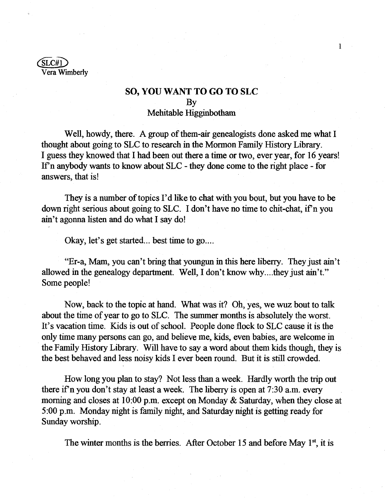$SLCH1$ Vera Wimberly

## **SO, YOU WANT TO GO TO SLC**   $\mathbf{B}$ y Mehitable Higginbotham

Well, howdy, there. A group of them-air genealogists done asked me what I thought about going to SLC to research in the Mormon Family History Library. I guess they knowed that I had been out there a time or two, ever year, for 16 years! If n anybody wants to know about SLC - they done come to the right place - for answers, that is!

They is a number of topics I'd like to chat with you bout, but you have to be down right serious about going to SLC. I don't have no time to chit-chat, if'n you ain't agonna listen and do what I say do!

Okay, let's get started... best time to go....

"Er-a, Mam, you can't bring that youngun in this here liberry. They just ain't allowed in the genealogy department. Well, I don't know why....they just ain't." Some people!

Now, back to the topic at hand. What was it? Oh, yes, we wuz bout to talk about the time of year to go to SLC. The summer months is absolutely the worst. It's vacation time. Kids is out of school. People done flock to SLC cause it is the only time many persons can go, and believe me, kids, even babies, are welcome in the Family History Library. Will have to say a word about them kids though, they is the best behaved and less noisy kids I ever been round. But it is still crowded.

How long you plan to stay? Not less than a week. Hardly worth the trip out there if n you don't stay at least a week. The liberry is open at  $7:30$  a.m. every morning and closes at 10:00 p.m. except on Monday & Saturday, when they close at 5:00 p.m. Monday night is family night, and Saturday night is getting ready for Sunday worship.

The winter months is the berries. After October 15 and before May  $1<sup>st</sup>$ , it is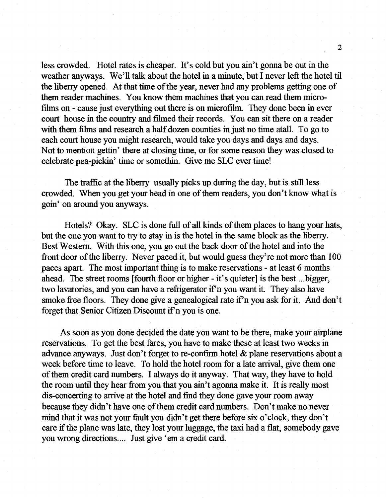less crowded. Hotel rates is cheaper. It's cold but you ain't gonna be out in the weather anyways. We'll talk about the hotel in a minute, but I never left the hotel til the liberry opened. At that time of the year, never had any problems getting one of them reader machines. You know them machines that you can read them microfilms on - cause just everything out there is on microfilm. They done been in ever court house in the country and filmed their records. You can sit there on a reader with them films and research a half dozen counties in just no time atall. To go to each court house you might research, would take you days and days and days. Not to mention gettin' there at closing time, or for some reason they was closed to celebrate pea-pickin' time or somethin. Give me SLC ever time!

The traffic at the liberry usually picks up during the day, but is still less crowded. When you get your head in one of them readers, you don't know what is goin' on around you anyways.

Hotels? Okay. SLC is done full of all kinds of them places to hang your hats, but the one you want to try to stay in is the hotel in the same block as the liberry. Best Western. With this one, you go out the back door of the hotel and into the front door of the liberry. Never paced it, but would guess they're not more than 100 paces apart. The most important thing is to make reservations - at least 6 months ahead. The street rooms [fourth floor or higher - it's quieter] is the best ...bigger, two lavatories, and you can have a refrigerator if n you want it. They also have smoke free floors. They done give a genealogical rate if n you ask for it. And don't forget that Senior Citizen Discount if'n you is one.

As soon as you done decided the date you want to be there, make your airplane reservations. To get the best fares, you have to make these at least two weeks in advance anyways. Just don't forget to re-confirm hotel & plane reservations about a week before time to leave. To hold the hotel room for a late arrival, give them one of them credit card numbers. I always do it anyway. That way, they have to hold the room until they hear from you that you ain't agonna make it. It is really most dis-concerting to arrive at the hotel and find they done gave your room away because they didn't have one of them credit card numbers. Don't make no never mind that it was not your fault you didn't get there before six o'clock, they don't care if the plane was late, they lost your luggage, the taxi had a flat, somebody gave you wrong directions.... Just give 'em a credit card.